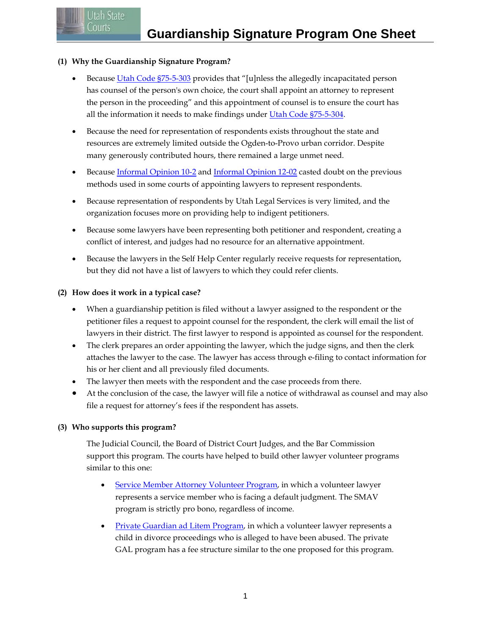# **(1) Why the Guardianship Signature Program?**

Utah State Courts:

- Because [Utah Code §75-5-303](http://le.utah.gov/xcode/Title75/Chapter5/75-5-S303.html?v=C75-5-S303_1800010118000101) provides that "[u]nless the allegedly incapacitated person has counsel of the person's own choice, the court shall appoint an attorney to represent the person in the proceeding" and this appointment of counsel is to ensure the court has all the information it needs to make findings under [Utah Code §75-5-304.](http://le.utah.gov/xcode/Title75/Chapter5/75-5-S304.html)
- Because the need for representation of respondents exists throughout the state and resources are extremely limited outside the Ogden-to-Provo urban corridor. Despite many generously contributed hours, there remained a large unmet need.
- Because [Informal Opinion 10-2](http://www.utcourts.gov/resources/ethadv/ethics_opinions/2010/10-2.html) and [Informal Opinion 12-02](http://www.utcourts.gov/resources/ethadv/ethics_opinions/2012/12-2.pdf) casted doubt on the previous methods used in some courts of appointing lawyers to represent respondents.
- Because representation of respondents by Utah Legal Services is very limited, and the organization focuses more on providing help to indigent petitioners.
- Because some lawyers have been representing both petitioner and respondent, creating a conflict of interest, and judges had no resource for an alternative appointment.
- Because the lawyers in the Self Help Center regularly receive requests for representation, but they did not have a list of lawyers to which they could refer clients.

# **(2) How does it work in a typical case?**

- When a guardianship petition is filed without a lawyer assigned to the respondent or the petitioner files a request to appoint counsel for the respondent, the clerk will email the list of lawyers in their district. The first lawyer to respond is appointed as counsel for the respondent.
- The clerk prepares an order appointing the lawyer, which the judge signs, and then the clerk attaches the lawyer to the case. The lawyer has access through e-filing to contact information for his or her client and all previously filed documents.
- The lawyer then meets with the respondent and the case proceeds from there.
- At the conclusion of the case, the lawyer will file a notice of withdrawal as counsel and may also file a request for attorney's fees if the respondent has assets.

## **(3) Who supports this program?**

The Judicial Council, the Board of District Court Judges, and the Bar Commission support this program. The courts have helped to build other lawyer volunteer programs similar to this one:

- [Service Member Attorney Volunteer Program,](http://www.utcourts.gov/resources/forms/military/scra/) in which a volunteer lawyer represents a service member who is facing a default judgment. The SMAV program is strictly pro bono, regardless of income.
- [Private Guardian ad Litem](http://www.utcourts.gov/specproj/casa/pgal/) Program, in which a volunteer lawyer represents a child in divorce proceedings who is alleged to have been abused. The private GAL program has a fee structure similar to the one proposed for this program.